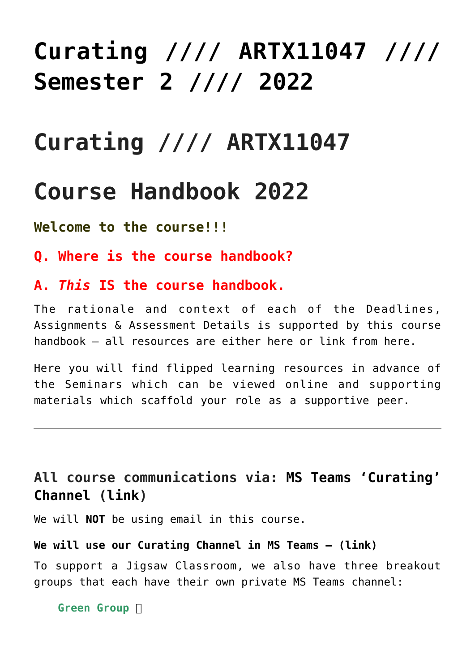# **[Curating //// ARTX11047 ////](https://blogs.ed.ac.uk/macat/about/curating/) [Semester 2 //// 2022](https://blogs.ed.ac.uk/macat/about/curating/)**

## **Curating //// ARTX11047**

### **Course Handbook 2022**

**Welcome to the course!!!**

- **Q. Where is the course handbook?**
- **A.** *This* **IS the course handbook.**

The rationale and context of each of the Deadlines, Assignments & Assessment Details is supported by this course handbook – all resources are either here or link from here.

Here you will find flipped learning resources in advance of the Seminars which can be viewed online and supporting materials which scaffold your role as a supportive peer.

### **All course communications via: [MS Teams 'Curating'](https://teams.microsoft.com/l/channel/19%3aa2ce16eb4b044aa1b29dd22458bc8706%40thread.tacv2/Curating?groupId=2ec8e172-6e23-4250-9025-38343f20bb23&tenantId=2e9f06b0-1669-4589-8789-10a06934dc61) [Channel](https://teams.microsoft.com/l/channel/19%3aa2ce16eb4b044aa1b29dd22458bc8706%40thread.tacv2/Curating?groupId=2ec8e172-6e23-4250-9025-38343f20bb23&tenantId=2e9f06b0-1669-4589-8789-10a06934dc61) ([link\)](https://teams.microsoft.com/l/channel/19%3aa2ce16eb4b044aa1b29dd22458bc8706%40thread.tacv2/Curating?groupId=2ec8e172-6e23-4250-9025-38343f20bb23&tenantId=2e9f06b0-1669-4589-8789-10a06934dc61)**

We will **NOT** be using email in this course.

#### **[We will use our Curating Channel in MS Teams – \(link\)](https://teams.microsoft.com/l/channel/19%3aa2ce16eb4b044aa1b29dd22458bc8706%40thread.tacv2/Curating?groupId=2ec8e172-6e23-4250-9025-38343f20bb23&tenantId=2e9f06b0-1669-4589-8789-10a06934dc61)**

To support a Jigsaw Classroom, we also have three breakout groups that each have their own private MS Teams channel:

**Green Group**